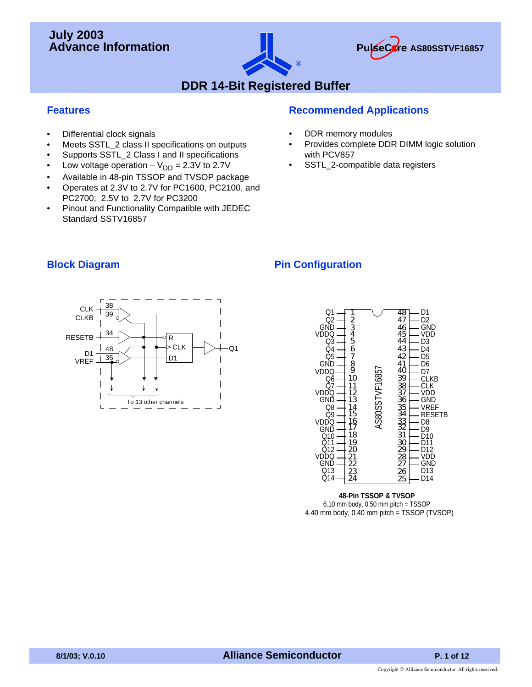## **July 2003 Advance Information**





## **DDR 14-Bit Registered Buffer**

### **Features**

- Differential clock signals
- Meets SSTL\_2 class II specifications on outputs
- Supports SSTL\_2 Class I and II specifications
- Low voltage operation  $-V_{DD} = 2.3V$  to 2.7V
- Available in 48-pin TSSOP and TVSOP package
- Operates at 2.3V to 2.7V for PC1600, PC2100, and PC2700; 2.5V to 2.7V for PC3200
- Pinout and Functionality Compatible with JEDEC Standard SSTV16857

### **Recommended Applications**

- DDR memory modules
- Provides complete DDR DIMM logic solution with PCV857
- SSTL\_2-compatible data registers

### **Block Diagram**

### **Pin Configuration**





#### **48-Pin TSSOP & TVSOP** 6.10 mm body, 0.50 mm pitch = TSSOP 4.40 mm body, 0.40 mm pitch = TSSOP (TVSOP)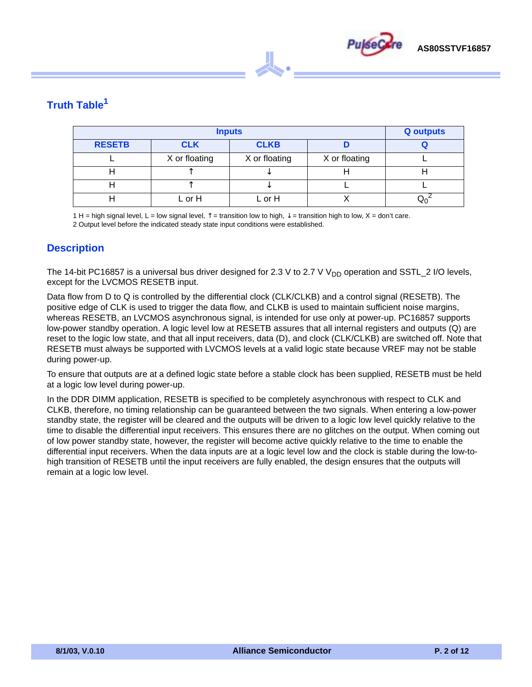

## **Truth Table1**

|               | <b>Q</b> outputs |               |               |  |
|---------------|------------------|---------------|---------------|--|
| <b>RESETB</b> | <b>CLK</b>       | <b>CLKB</b>   |               |  |
|               | X or floating    | X or floating | X or floating |  |
|               |                  |               |               |  |
|               |                  |               |               |  |
|               | L or H           | L or H        |               |  |

 $^{\circ}$ 

1 H = high signal level, L = low signal level,  $\uparrow$  = transition low to high,  $\downarrow$  = transition high to low, X = don't care. 2 Output level before the indicated steady state input conditions were established.

#### **Description**

The 14-bit PC16857 is a universal bus driver designed for 2.3 V to 2.7 V V<sub>DD</sub> operation and SSTL\_2 I/O levels, except for the LVCMOS RESETB input.

Data flow from D to Q is controlled by the differential clock (CLK/CLKB) and a control signal (RESETB). The positive edge of CLK is used to trigger the data flow, and CLKB is used to maintain sufficient noise margins, whereas RESETB, an LVCMOS asynchronous signal, is intended for use only at power-up. PC16857 supports low-power standby operation. A logic level low at RESETB assures that all internal registers and outputs (Q) are reset to the logic low state, and that all input receivers, data (D), and clock (CLK/CLKB) are switched off. Note that RESETB must always be supported with LVCMOS levels at a valid logic state because VREF may not be stable during power-up.

To ensure that outputs are at a defined logic state before a stable clock has been supplied, RESETB must be held at a logic low level during power-up.

In the DDR DIMM application, RESETB is specified to be completely asynchronous with respect to CLK and CLKB, therefore, no timing relationship can be guaranteed between the two signals. When entering a low-power standby state, the register will be cleared and the outputs will be driven to a logic low level quickly relative to the time to disable the differential input receivers. This ensures there are no glitches on the output. When coming out of low power standby state, however, the register will become active quickly relative to the time to enable the differential input receivers. When the data inputs are at a logic level low and the clock is stable during the low-tohigh transition of RESETB until the input receivers are fully enabled, the design ensures that the outputs will remain at a logic low level.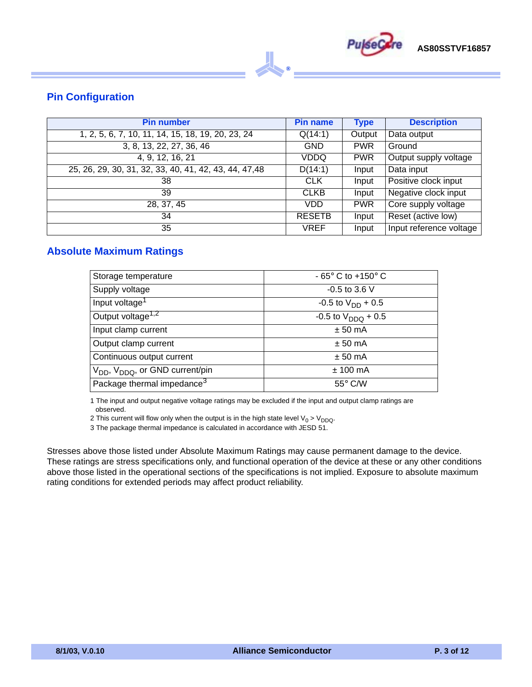

### **Pin Configuration**

| <b>Pin number</b>                                      | <b>Pin name</b> | <b>Type</b> | <b>Description</b>      |
|--------------------------------------------------------|-----------------|-------------|-------------------------|
| 1, 2, 5, 6, 7, 10, 11, 14, 15, 18, 19, 20, 23, 24      | Q(14:1)         | Output      | Data output             |
| 3, 8, 13, 22, 27, 36, 46                               | <b>GND</b>      | <b>PWR</b>  | Ground                  |
| 4, 9, 12, 16, 21                                       | VDDQ            | <b>PWR</b>  | Output supply voltage   |
| 25, 26, 29, 30, 31, 32, 33, 40, 41, 42, 43, 44, 47, 48 | D(14:1)         | Input       | Data input              |
| 38                                                     | <b>CLK</b>      | Input       | Positive clock input    |
| 39                                                     | <b>CLKB</b>     | Input       | Negative clock input    |
| 28, 37, 45                                             | VDD             | <b>PWR</b>  | Core supply voltage     |
| 34                                                     | <b>RESETB</b>   | Input       | Reset (active low)      |
| 35                                                     | <b>VREF</b>     | Input       | Input reference voltage |

 $^{\circ}$ 

#### **Absolute Maximum Ratings**

| Storage temperature                                     | - $65^\circ$ C to +150 $^\circ$ C |
|---------------------------------------------------------|-----------------------------------|
| Supply voltage                                          | $-0.5$ to 3.6 V                   |
| Input voltage <sup>1</sup>                              | $-0.5$ to $V_{DD}$ + 0.5          |
| Output voltage <sup>1,2</sup>                           | $-0.5$ to $V_{DDO} + 0.5$         |
| Input clamp current                                     | $± 50$ mA                         |
| Output clamp current                                    | $± 50$ mA                         |
| Continuous output current                               | $± 50$ mA                         |
| V <sub>DD</sub> , V <sub>DDQ</sub> , or GND current/pin | $± 100$ mA                        |
| Package thermal impedance <sup>3</sup>                  | $55^{\circ}$ C/W                  |

1 The input and output negative voltage ratings may be excluded if the input and output clamp ratings are observed.

2 This current will flow only when the output is in the high state level  $V_0 > V_{DDQ}$ .

3 The package thermal impedance is calculated in accordance with JESD 51.

Stresses above those listed under Absolute Maximum Ratings may cause permanent damage to the device. These ratings are stress specifications only, and functional operation of the device at these or any other conditions above those listed in the operational sections of the specifications is not implied. Exposure to absolute maximum rating conditions for extended periods may affect product reliability.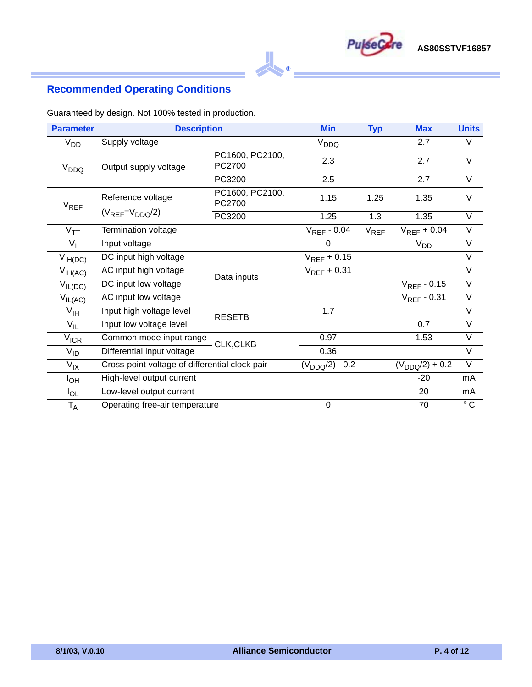

## **Recommended Operating Conditions**

Guaranteed by design. Not 100% tested in production.

| <b>Parameter</b>  | <b>Description</b>                             |                           | <b>Min</b>          | <b>Typ</b> | <b>Max</b>          | <b>Units</b>      |
|-------------------|------------------------------------------------|---------------------------|---------------------|------------|---------------------|-------------------|
| $V_{DD}$          | Supply voltage                                 |                           | $V_{DDQ}$           |            | 2.7                 | V                 |
| V <sub>DDQ</sub>  | Output supply voltage                          | PC1600, PC2100,<br>PC2700 | 2.3                 |            | 2.7                 | V                 |
|                   |                                                | PC3200                    | 2.5                 |            | 2.7                 | V                 |
| $V_{REF}$         | Reference voltage                              | PC1600, PC2100,<br>PC2700 | 1.15                | 1.25       | 1.35                | $\vee$            |
|                   | $(V_{REF}=V_{DDQ}/2)$                          | PC3200                    | 1.25                | 1.3        | 1.35                | $\vee$            |
| $V_{TT}$          | Termination voltage                            |                           | $V_{REF}$ - 0.04    | $V_{REF}$  | $V_{REF}$ + 0.04    | $\vee$            |
| $V_{\parallel}$   | Input voltage                                  |                           | 0                   |            | $V_{DD}$            | $\vee$            |
| $V_{IH(DC)}$      | DC input high voltage                          |                           | $V_{REF}$ + 0.15    |            |                     | V                 |
| $V_{IH(AC)}$      | AC input high voltage                          | Data inputs               | $V_{REF}$ + 0.31    |            |                     | $\overline{\vee}$ |
| $V_{IL(DC)}$      | DC input low voltage                           |                           |                     |            | $V_{REF}$ - 0.15    | V                 |
| $V_{IL(AC)}$      | AC input low voltage                           |                           |                     |            | $V_{REF} - 0.31$    | $\vee$            |
| $V_{\text{IH}}$   | Input high voltage level                       | <b>RESETB</b>             | 1.7                 |            |                     | $\overline{\vee}$ |
| $V_{IL}$          | Input low voltage level                        |                           |                     |            | 0.7                 | V                 |
| $V_{ICR}$         | Common mode input range                        | CLK, CLKB                 | 0.97                |            | 1.53                | V                 |
| $V_{ID}$          | Differential input voltage                     |                           | 0.36                |            |                     | V                 |
| $V_{\mathsf{IX}}$ | Cross-point voltage of differential clock pair |                           | $(V_{DDQ}/2) - 0.2$ |            | $(V_{DDQ}/2) + 0.2$ | $\vee$            |
| $I_{OH}$          | High-level output current                      |                           |                     |            | $-20$               | mA                |
| $I_{OL}$          | Low-level output current                       |                           |                     |            | 20                  | mA                |
| $T_A$             | Operating free-air temperature                 |                           | 0                   |            | 70                  | $^\circ$ C        |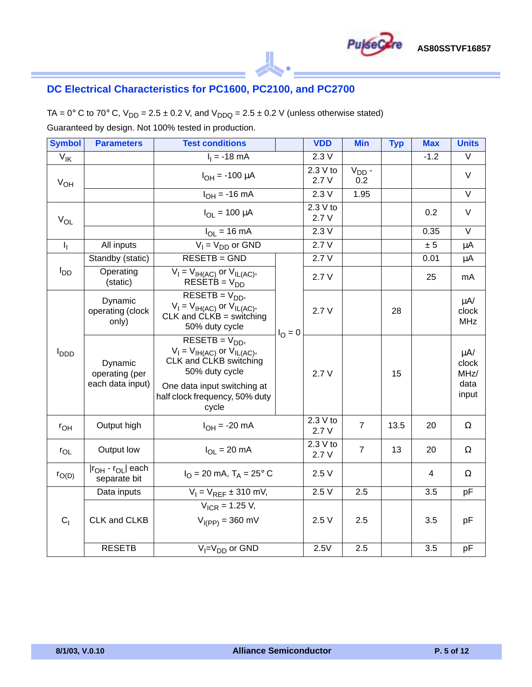

### **DC Electrical Characteristics for PC1600, PC2100, and PC2700**

TA =  $0^{\circ}$  C to 70° C, V<sub>DD</sub> = 2.5 ± 0.2 V, and V<sub>DDQ</sub> = 2.5 ± 0.2 V (unless otherwise stated) Guaranteed by design. Not 100% tested in production.

| <b>Symbol</b>             | <b>Parameters</b>                                       | <b>Test conditions</b>                                                                                                                                                         |                  | <b>VDD</b>       | <b>Min</b>        | <b>Typ</b> | <b>Max</b>     | <b>Units</b>                               |
|---------------------------|---------------------------------------------------------|--------------------------------------------------------------------------------------------------------------------------------------------------------------------------------|------------------|------------------|-------------------|------------|----------------|--------------------------------------------|
| $V_{\text{IK}}$           |                                                         | $I_1 = -18$ mA                                                                                                                                                                 |                  | 2.3V             |                   |            | $-1.2$         | $\vee$                                     |
| $V_{OH}$                  |                                                         | $I_{OH} = -100 \mu A$                                                                                                                                                          | 2.3 V to         |                  | $V_{DD}$ -<br>0.2 |            |                | $\vee$                                     |
|                           |                                                         | $I_{OH} = -16$ mA                                                                                                                                                              |                  | 2.3V             | 1.95              |            |                | $\vee$                                     |
| $V_{OL}$                  |                                                         | $I_{OL} = 100 \mu A$                                                                                                                                                           |                  | 2.3 V to<br>2.7V |                   |            | 0.2            | $\vee$                                     |
|                           |                                                         | $I_{\text{OI}} = 16 \text{ mA}$                                                                                                                                                |                  | 2.3V             |                   |            | 0.35           | $\overline{\vee}$                          |
| $\mathbf{I}_{\mathbf{I}}$ | All inputs                                              | $V_1 = V_{DD}$ or GND                                                                                                                                                          |                  | 2.7V             |                   |            | ± 5            | μA                                         |
|                           | Standby (static)                                        | RESETB = GND                                                                                                                                                                   |                  | 2.7V             |                   |            | 0.01           | $\mu$ A                                    |
| l <sub>DD</sub>           | Operating<br>(static)                                   | $V_I = V_{IH(AC)}$ or $V_{IL(AC)}$ ,<br>$RESETB = V_{DD}$                                                                                                                      |                  | 2.7V             |                   |            | 25             | mA                                         |
|                           | Dynamic<br>operating (clock<br>only)                    | $RESETB = VDD$<br>$V_I = V_{I H(AC)}$ or $V_{I L(AC)}$ ,<br>$CLK$ and $CLKB =$ switching<br>50% duty cycle                                                                     | $I_{\Omega} = 0$ | 2.7V             |                   | 28         |                | $\mu$ A/<br>clock<br><b>MHz</b>            |
| $I_{DDD}$                 | Dynamic<br>operating (per<br>each data input)           | $RESETB = VDD$<br>$V_I = V_{I H(AC)}$ or $V_{I L(AC)}$ ,<br>CLK and CLKB switching<br>50% duty cycle<br>One data input switching at<br>half clock frequency, 50% duty<br>cycle |                  | 2.7V             |                   | 15         |                | $\mu$ A/<br>clock<br>MHz/<br>data<br>input |
| $r_{OH}$                  | Output high                                             | $I_{OH} = -20$ mA                                                                                                                                                              |                  | 2.3 V to<br>2.7V | $\overline{7}$    | 13.5       | 20             | Ω                                          |
| $r_{OL}$                  | Output low                                              | $I_{OI}$ = 20 mA                                                                                                                                                               |                  | 2.3 V to<br>2.7V | $\overline{7}$    | 13         | 20             | Ω                                          |
| $r_{O(D)}$                | Ir <sub>OH</sub> - r <sub>OL</sub> each<br>separate bit | $I_{\Omega}$ = 20 mA, T <sub>A</sub> = 25° C                                                                                                                                   |                  |                  |                   |            | $\overline{4}$ | $\Omega$                                   |
|                           | Data inputs                                             | $V_1 = V_{REF} \pm 310$ mV,                                                                                                                                                    |                  | 2.5V             | 2.5               |            | 3.5            | pF                                         |
| C <sub>1</sub>            | CLK and CLKB                                            | $V_{ICR}$ = 1.25 V,<br>$V_{I(PP)} = 360$ mV                                                                                                                                    |                  | 2.5V             | 2.5               |            | 3.5            | pF                                         |
|                           | <b>RESETB</b>                                           | $V_I = V_{DD}$ or GND                                                                                                                                                          |                  | 2.5V             | 2.5               |            | 3.5            | pF                                         |

 $^{\circ}$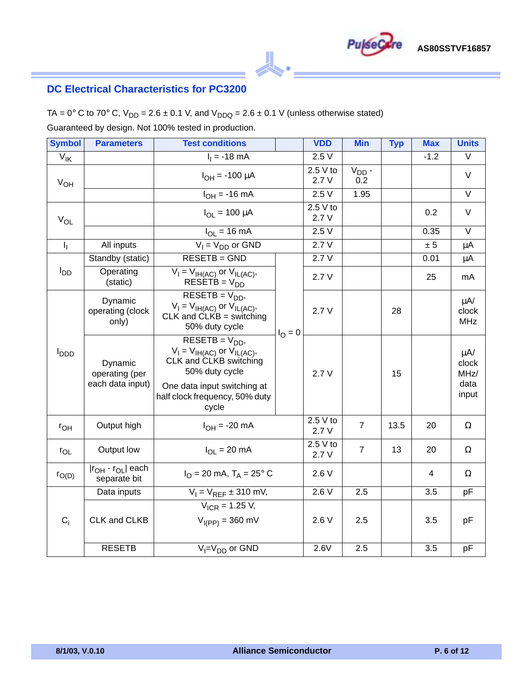

## **DC Electrical Characteristics for PC3200**

TA =  $0^{\circ}$  C to 70° C, V<sub>DD</sub> = 2.6 ± 0.1 V, and V<sub>DDQ</sub> = 2.6 ± 0.1 V (unless otherwise stated)

Guaranteed by design. Not 100% tested in production.

| <b>Symbol</b>             | <b>Parameters</b>                                       | <b>Test conditions</b>                                                                                                                                                         |                  | <b>VDD</b>       | <b>Min</b>        | <b>Typ</b> | <b>Max</b>     | <b>Units</b>                                |
|---------------------------|---------------------------------------------------------|--------------------------------------------------------------------------------------------------------------------------------------------------------------------------------|------------------|------------------|-------------------|------------|----------------|---------------------------------------------|
| $V_{\mathsf{IK}}$         |                                                         | $I_1 = -18$ mA                                                                                                                                                                 |                  | 2.5V             |                   |            | $-1.2$         | $\vee$                                      |
| $V_{OH}$                  |                                                         | $I_{OH} = -100 \mu A$                                                                                                                                                          | 2.5 V to         |                  | $V_{DD}$ -<br>0.2 |            |                | $\vee$                                      |
|                           |                                                         | $I_{OH} = -16$ mA                                                                                                                                                              |                  | 2.5V             | 1.95              |            |                | $\overline{\vee}$                           |
| $V_{OL}$                  |                                                         | $I_{OL} = 100 \mu A$                                                                                                                                                           |                  | 2.5 V to<br>2.7V |                   |            | 0.2            | $\vee$                                      |
|                           |                                                         | $I_{\text{OI}} = 16 \text{ mA}$                                                                                                                                                |                  | 2.5V             |                   |            | 0.35           | $\overline{\vee}$                           |
| $\mathbf{I}_{\mathbf{I}}$ | All inputs                                              | $V_1 = V_{DD}$ or GND                                                                                                                                                          |                  | 2.7V             |                   |            | ± 5            | $\mu$ A                                     |
|                           | Standby (static)                                        | RESETB = GND                                                                                                                                                                   |                  | 2.7V             |                   |            | 0.01           | $\mu$ A                                     |
| l <sub>DD</sub>           | Operating<br>(static)                                   | $V_I = V_{I H(AC)}$ or $V_{I L(AC)}$ ,<br>$RESETB = VDD$                                                                                                                       |                  | 2.7V             |                   |            | 25             | mA                                          |
|                           | Dynamic<br>operating (clock<br>only)                    | $RESETB = VDD$<br>$V_I = V_{I H(AC)}$ or $V_{I L(AC)}$ ,<br>$CLK$ and $CLKB =$ switching<br>50% duty cycle                                                                     | $I_{\Omega} = 0$ | 2.7V             |                   | 28         |                | $\mu$ A/<br>clock<br><b>MHz</b>             |
| l <sub>DDD</sub>          | Dynamic<br>operating (per<br>each data input)           | $RESETB = VDD$<br>$V_I = V_{I H(AC)}$ or $V_{I L(AC)}$ ,<br>CLK and CLKB switching<br>50% duty cycle<br>One data input switching at<br>half clock frequency, 50% duty<br>cycle |                  | 2.7V             |                   | 15         |                | $\mu A$ /<br>clock<br>MHz/<br>data<br>input |
| $r_{OH}$                  | Output high                                             | $I_{OH} = -20$ mA                                                                                                                                                              |                  | 2.5 V to<br>2.7V | $\overline{7}$    | 13.5       | 20             | Ω                                           |
| $r_{OL}$                  | Output low                                              | $I_{OI}$ = 20 mA                                                                                                                                                               |                  | 2.5 V to<br>2.7V | $\overline{7}$    | 13         | 20             | Ω                                           |
| $r_{O(D)}$                | Ir <sub>OH</sub> - r <sub>OL</sub> each<br>separate bit | $I_{\rm O}$ = 20 mA, T <sub>A</sub> = 25° C                                                                                                                                    |                  |                  |                   |            | $\overline{4}$ | Ω                                           |
|                           | Data inputs                                             | $V_1 = V_{REF} \pm 310$ mV,                                                                                                                                                    |                  | 2.6V             | 2.5               |            | 3.5            | pF                                          |
| $C_i$                     | CLK and CLKB                                            | $V_{ICR}$ = 1.25 V,<br>$V_{I(PP)} = 360$ mV                                                                                                                                    |                  | 2.6V             | 2.5               |            | 3.5            | pF                                          |
|                           | <b>RESETB</b>                                           | $V_I = V_{DD}$ or GND                                                                                                                                                          |                  | 2.6V             | 2.5               |            | 3.5            | pF                                          |

 $^{\circ}$ 

Pu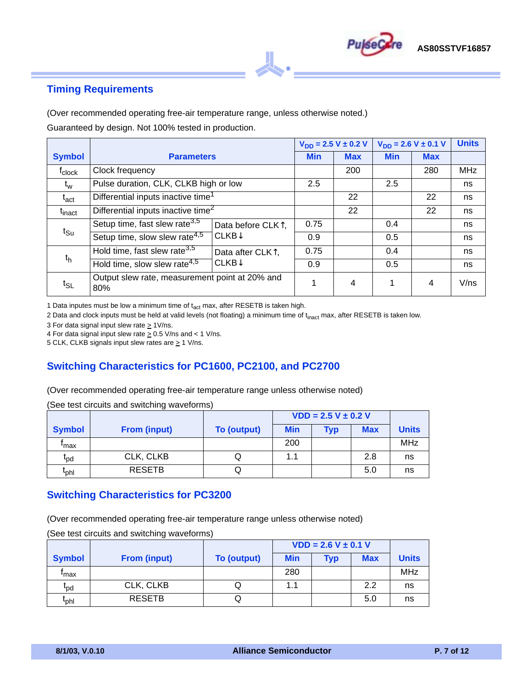

### **Timing Requirements**

(Over recommended operating free-air temperature range, unless otherwise noted.)

Guaranteed by design. Not 100% tested in production.

|                          |                                                       |                                |            | $V_{DD} = 2.5 V \pm 0.2 V$ |            | $V_{DD} = 2.6 V \pm 0.1 V$ | <b>Units</b> |
|--------------------------|-------------------------------------------------------|--------------------------------|------------|----------------------------|------------|----------------------------|--------------|
| <b>Symbol</b>            | <b>Parameters</b>                                     |                                | <b>Min</b> | <b>Max</b>                 | <b>Min</b> | <b>Max</b>                 |              |
| <sup>T</sup> clock       | Clock frequency                                       |                                |            | 200                        |            | 280                        | <b>MHz</b>   |
| $t_w$                    | Pulse duration, CLK, CLKB high or low                 |                                | 2.5        |                            | 2.5        |                            | ns           |
| $\mathfrak{t}_{\rm act}$ | Differential inputs inactive time <sup>1</sup>        |                                |            | 22                         |            | 22                         | ns           |
| t <sub>inact</sub>       | Differential inputs inactive time <sup>2</sup>        |                                |            | 22                         |            | 22                         | ns           |
|                          | Setup time, fast slew rate <sup>3,5</sup>             | Data before CLK <sup>1</sup> , | 0.75       |                            | 0.4        |                            | ns           |
| $t_{\text{Su}}$          | Setup time, slow slew rate <sup>4,5</sup>             | CLKB <sup>†</sup>              | 0.9        |                            | 0.5        |                            | ns           |
|                          | Hold time, fast slew rate <sup>3,5</sup>              | Data after CLK <sup>1</sup> ,  | 0.75       |                            | 0.4        |                            | ns           |
| $t_h$                    | Hold time, slow slew rate <sup>4,5</sup>              | $CLKB+$                        | 0.9        |                            | 0.5        |                            | ns           |
| $t_{SL}$                 | Output slew rate, measurement point at 20% and<br>80% |                                | 1          | 4                          |            | 4                          | V/ns         |

 $^{\circ}$ 

1 Data inputes must be low a minimum time of  $t_{act}$  max, after RESETB is taken high.

2 Data and clock inputs must be held at valid levels (not floating) a minimum time of t<sub>inact</sub> max, after RESETB is taken low.

3 For data signal input slew rate  $\geq$  1V/ns.

4 For data signal input slew rate  $\geq$  0.5 V/ns and < 1 V/ns.

5 CLK, CLKB signals input slew rates are  $\geq$  1 V/ns.

#### **Switching Characteristics for PC1600, PC2100, and PC2700**

(Over recommended operating free-air temperature range unless otherwise noted)

(See test circuits and switching waveforms)

|                          |                     |                    | $VDD = 2.5 V \pm 0.2 V$ |     |            |              |
|--------------------------|---------------------|--------------------|-------------------------|-----|------------|--------------|
| <b>Symbol</b>            | <b>From (input)</b> | <b>To (output)</b> | <b>Min</b>              | Typ | <b>Max</b> | <b>Units</b> |
| 'max                     |                     |                    | 200                     |     |            | MHz          |
| <sup>l</sup> pd          | CLK, CLKB           | W                  | 1.1                     |     | 2.8        | ns           |
| $\mathfrak{r}_{\sf phl}$ | <b>RESETB</b>       | Q                  |                         |     | 5.0        | ns           |

#### **Switching Characteristics for PC3200**

(Over recommended operating free-air temperature range unless otherwise noted)

(See test circuits and switching waveforms)

|                          |                     |                    | $VDD = 2.6 V \pm 0.1 V$ |     |            |              |
|--------------------------|---------------------|--------------------|-------------------------|-----|------------|--------------|
| <b>Symbol</b>            | <b>From (input)</b> | <b>To (output)</b> | <b>Min</b>              | Гур | <b>Max</b> | <b>Units</b> |
| 'max                     |                     |                    | 280                     |     |            | <b>MHz</b>   |
| <sup>l</sup> pd          | CLK, CLKB           |                    | 1.1                     |     | 2.2        | ns           |
| $\mathfrak{r}_{\sf phl}$ | <b>RESETB</b>       | u                  |                         |     | 5.0        | ns           |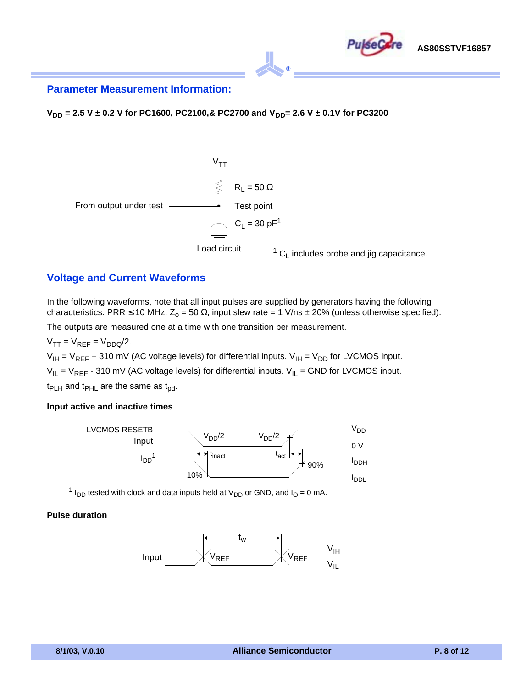

#### **Parameter Measurement Information:**

**V<sub>DD</sub>** = 2.5 V ± 0.2 V for PC1600, PC2100,& PC2700 and V<sub>DD</sub>= 2.6 V ± 0.1V for PC3200



#### **Voltage and Current Waveforms**

In the following waveforms, note that all input pulses are supplied by generators having the following characteristics: PRR  $\leq$  10 MHz, Z<sub>o</sub> = 50  $\Omega$ , input slew rate = 1 V/ns ± 20% (unless otherwise specified).

The outputs are measured one at a time with one transition per measurement.

 $V_{TT} = V_{REF} = V_{DDQ}/2.$ 

 $V_{IH} = V_{REF}$  + 310 mV (AC voltage levels) for differential inputs.  $V_{IH} = V_{DD}$  for LVCMOS input.

 $V_{IL} = V_{REF}$  - 310 mV (AC voltage levels) for differential inputs.  $V_{IL}$  = GND for LVCMOS input.

 $t_{PLH}$  and  $t_{PHL}$  are the same as  $t_{pd}$ .

#### **Input active and inactive times**



<sup>1</sup> I<sub>DD</sub> tested with clock and data inputs held at V<sub>DD</sub> or GND, and I<sub>O</sub> = 0 mA.

#### **Pulse duration**

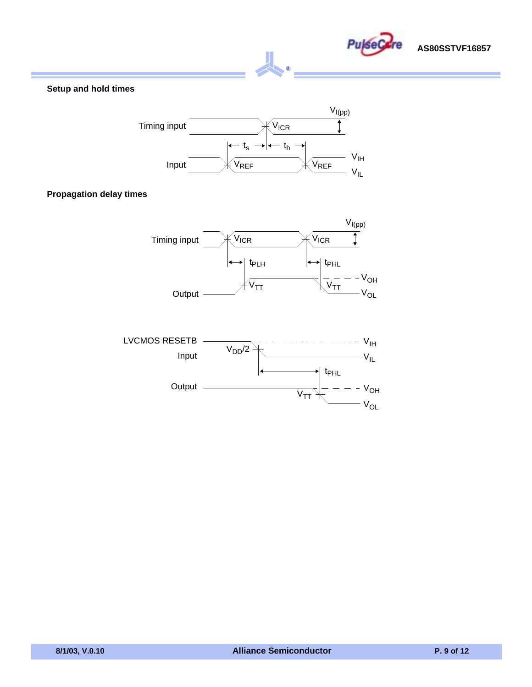

#### **Setup and hold times**



 $^{\circ}$ 

#### **Propagation delay times**



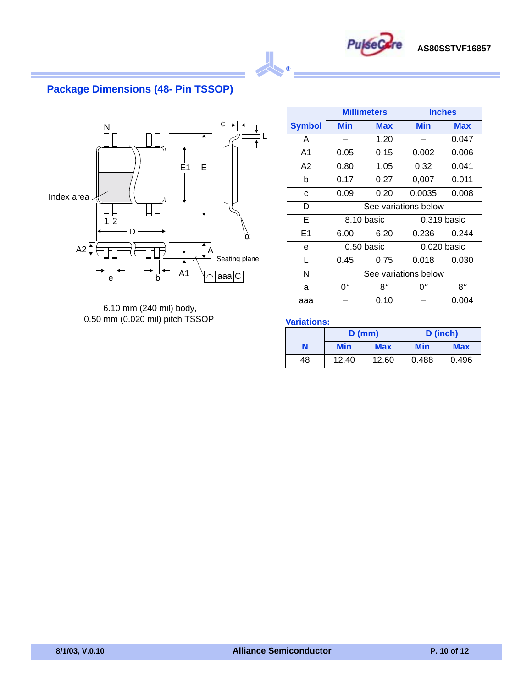

## **Package Dimensions (48- Pin TSSOP)**



6.10 mm (240 mil) body, 0.50 mm (0.020 mil) pitch TSSOP

|                |             | <b>Millimeters</b> | <b>Inches</b>        |               |  |
|----------------|-------------|--------------------|----------------------|---------------|--|
| <b>Symbol</b>  | Min         | Max                | Min                  | <b>Max</b>    |  |
| A              |             | 1.20               |                      | 0.047         |  |
| A <sub>1</sub> | 0.05        | 0.15               | 0.002                | 0.006         |  |
| A2             | 0.80        | 1.05               | 0.32                 | 0.041         |  |
| b              | 0.17        | 0.27               | 0,007                | 0.011         |  |
| C              | 0.09        | 0.20               | 0.0035               | 0.008         |  |
| D              |             |                    | See variations below |               |  |
| Е              |             | 8.10 basic         |                      | $0.319$ basic |  |
| E <sub>1</sub> | 6.00        | 6.20               | 0.236                | 0.244         |  |
| e              |             | $0.50$ basic       |                      | $0.020$ basic |  |
| L              | 0.45        | 0.75               | 0.018                | 0.030         |  |
| N              |             |                    | See variations below |               |  |
| a              | $0^{\circ}$ | R۰                 | ∩°                   | $8^\circ$     |  |
| aaa            |             | 0.10               | 0.004                |               |  |

#### **Variations:**

 $^{\circ}$ 

|    | $D$ (mm)          |       | D (inch) |            |
|----|-------------------|-------|----------|------------|
| Ν  | Min<br><b>Max</b> |       | Min      | <b>Max</b> |
| 48 | 12.40             | 12.60 | 0.488    | 0.496      |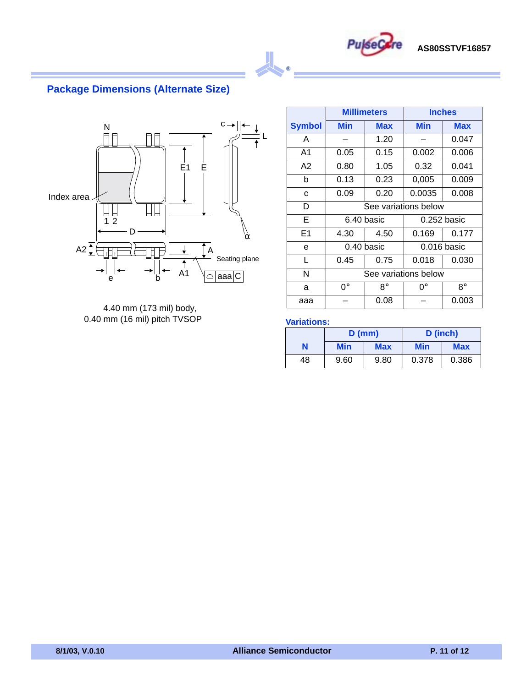

## **Package Dimensions (Alternate Size)**



4.40 mm (173 mil) body, 0.40 mm (16 mil) pitch TVSOP

|                |             | <b>Millimeters</b> | <b>Inches</b>        |               |  |
|----------------|-------------|--------------------|----------------------|---------------|--|
| <b>Symbol</b>  | Min         | Max                | Min                  | <b>Max</b>    |  |
| A              |             | 1.20               |                      | 0.047         |  |
| A <sub>1</sub> | 0.05        | 0.15               | 0.002                | 0.006         |  |
| A2             | 0.80        | 1.05               | 0.32                 | 0.041         |  |
| b              | 0.13        | 0.23               | 0,005                | 0.009         |  |
| C              | 0.09        | 0.20               | 0.0035               | 0.008         |  |
| D              |             |                    | See variations below |               |  |
| Е              |             | 6.40 basic         |                      | $0.252$ basic |  |
| E <sub>1</sub> | 4.30        | 4.50               | 0.169                | 0.177         |  |
| e              |             | 0.40 basic         |                      | $0.016$ basic |  |
| L              | 0.45        | 0.75               | 0.018                | 0.030         |  |
| N              |             |                    | See variations below |               |  |
| a              | $0^{\circ}$ | R۰                 | ∩°                   | $8^\circ$     |  |
| aaa            |             | 0.08               | 0.003                |               |  |

#### **Variations:**

 $^{\circ}$ 

|    | $D$ (mm) |            | D (inch) |            |
|----|----------|------------|----------|------------|
| N  | Min      | <b>Max</b> | Min      | <b>Max</b> |
| 48 | 9.60     | 9.80       | 0.378    | 0.386      |